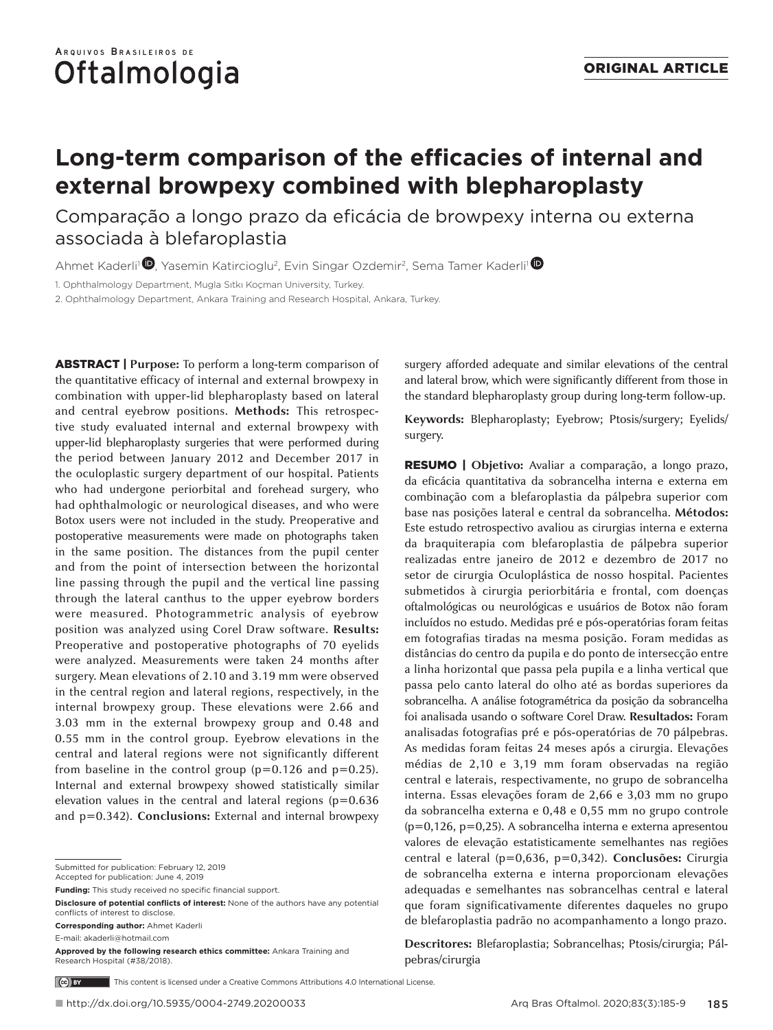# **Long-term comparison of the efficacies of internal and external browpexy combined with blepharoplasty**

Comparação a longo prazo da eficácia de browpexy interna ou externa associada à blefaroplastia

Ahmet Kaderli<sup>1</sup>  $\bullet$ , Yasemin Katircioglu<sup>2</sup>, Evin Singar Ozdemir<sup>2</sup>, Sema Tamer Kaderli<sup>1</sup>

1. Ophthalmology Department, Mugla Sıtkı Koçman University, Turkey.

2. Ophthalmology Department, Ankara Training and Research Hospital, Ankara, Turkey.

ABSTRACT | **Purpose:** To perform a long-term comparison of the quantitative efficacy of internal and external browpexy in combination with upper-lid blepharoplasty based on lateral and central eyebrow positions. **Methods:** This retrospective study evaluated internal and external browpexy with upper-lid blepharoplasty surgeries that were performed during the period between January 2012 and December 2017 in the oculoplastic surgery department of our hospital. Patients who had undergone periorbital and forehead surgery, who had ophthalmologic or neurological diseases, and who were Botox users were not included in the study. Preoperative and postoperative measurements were made on photographs taken in the same position. The distances from the pupil center and from the point of intersection between the horizontal line passing through the pupil and the vertical line passing through the lateral canthus to the upper eyebrow borders were measured. Photogrammetric analysis of eyebrow position was analyzed using Corel Draw software. **Results:**  Preoperative and postoperative photographs of 70 eyelids were analyzed. Measurements were taken 24 months after surgery. Mean elevations of 2.10 and 3.19 mm were observed in the central region and lateral regions, respectively, in the internal browpexy group. These elevations were 2.66 and 3.03 mm in the external browpexy group and 0.48 and 0.55 mm in the control group. Eyebrow elevations in the central and lateral regions were not significantly different from baseline in the control group  $(p=0.126$  and  $p=0.25$ ). Internal and external browpexy showed statistically similar elevation values in the central and lateral regions ( $p=0.636$ ) and p=0.342). **Conclusions:** External and internal browpexy

Submitted for publication: February 12, 2019

Accepted for publication: June 4, 2019

**Funding:** This study received no specific financial support.

**Disclosure of potential conflicts of interest:** None of the authors have any potential conflicts of interest to disclose.

**Corresponding author:** Ahmet Kaderli

E-mail: akaderli@hotmail.com

surgery afforded adequate and similar elevations of the central and lateral brow, which were significantly different from those in the standard blepharoplasty group during long-term follow-up.

**Keywords:** Blepharoplasty; Eyebrow; Ptosis/surgery; Eyelids/ surgery.

RESUMO | **Objetivo:** Avaliar a comparação, a longo prazo, da eficácia quantitativa da sobrancelha interna e externa em combinação com a blefaroplastia da pálpebra superior com base nas posições lateral e central da sobrancelha. **Métodos:** Este estudo retrospectivo avaliou as cirurgias interna e externa da braquiterapia com blefaroplastia de pálpebra superior realizadas entre janeiro de 2012 e dezembro de 2017 no setor de cirurgia Oculoplástica de nosso hospital. Pacientes submetidos à cirurgia periorbitária e frontal, com doenças oftalmológicas ou neurológicas e usuários de Botox não foram incluídos no estudo. Medidas pré e pós-operatórias foram feitas em fotografias tiradas na mesma posição. Foram medidas as distâncias do centro da pupila e do ponto de intersecção entre a linha horizontal que passa pela pupila e a linha vertical que passa pelo canto lateral do olho até as bordas superiores da sobrancelha. A análise fotogramétrica da posição da sobrancelha foi analisada usando o software Corel Draw. **Resultados:** Foram analisadas fotografias pré e pós-operatórias de 70 pálpebras. As medidas foram feitas 24 meses após a cirurgia. Elevações médias de 2,10 e 3,19 mm foram observadas na região central e laterais, respectivamente, no grupo de sobrancelha interna. Essas elevações foram de 2,66 e 3,03 mm no grupo da sobrancelha externa e 0,48 e 0,55 mm no grupo controle (p=0,126, p=0,25). A sobrancelha interna e externa apresentou valores de elevação estatisticamente semelhantes nas regiões central e lateral (p=0,636, p=0,342). **Conclusões:** Cirurgia de sobrancelha externa e interna proporcionam elevações adequadas e semelhantes nas sobrancelhas central e lateral que foram significativamente diferentes daqueles no grupo de blefaroplastia padrão no acompanhamento a longo prazo.

**Descritores:** Blefaroplastia; Sobrancelhas; Ptosis/cirurgia; Pálpebras/cirurgia

This content is licensed under a Creative Commons Attributions 4.0 International License. (ce) BY

**Approved by the following research ethics committee:** Ankara Training and Research Hospital (#38/2018).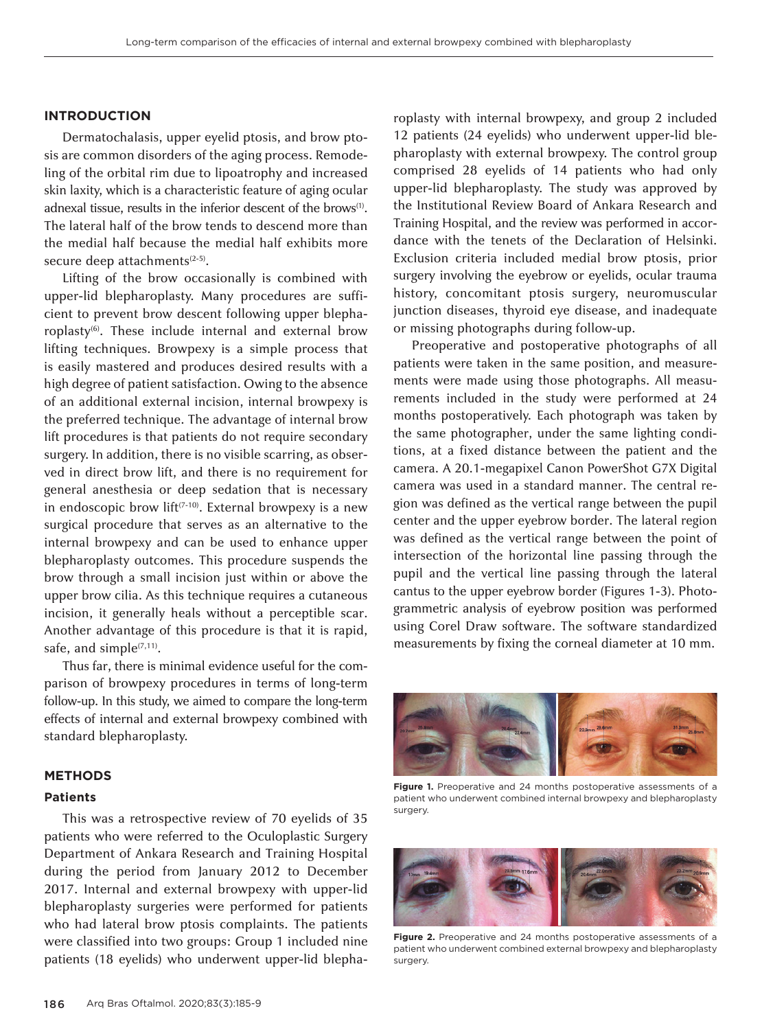## **INTRODUCTION**

Dermatochalasis, upper eyelid ptosis, and brow ptosis are common disorders of the aging process. Remodeling of the orbital rim due to lipoatrophy and increased skin laxity, which is a characteristic feature of aging ocular adnexal tissue, results in the inferior descent of the brows<sup>(1)</sup>. The lateral half of the brow tends to descend more than the medial half because the medial half exhibits more secure deep attachments<sup>(2-5)</sup>.

Lifting of the brow occasionally is combined with upper-lid blepharoplasty. Many procedures are sufficient to prevent brow descent following upper blepharoplasty(6). These include internal and external brow lifting techniques. Browpexy is a simple process that is easily mastered and produces desired results with a high degree of patient satisfaction. Owing to the absence of an additional external incision, internal browpexy is the preferred technique. The advantage of internal brow lift procedures is that patients do not require secondary surgery. In addition, there is no visible scarring, as observed in direct brow lift, and there is no requirement for general anesthesia or deep sedation that is necessary in endoscopic brow lift<sup> $(7-10)$ </sup>. External browpexy is a new surgical procedure that serves as an alternative to the internal browpexy and can be used to enhance upper blepharoplasty outcomes. This procedure suspends the brow through a small incision just within or above the upper brow cilia. As this technique requires a cutaneous incision, it generally heals without a perceptible scar. Another advantage of this procedure is that it is rapid, safe, and simple $(7,11)$ .

Thus far, there is minimal evidence useful for the comparison of browpexy procedures in terms of long-term follow-up. In this study, we aimed to compare the long-term effects of internal and external browpexy combined with standard blepharoplasty.

#### **METHODS**

## **Patients**

This was a retrospective review of 70 eyelids of 35 patients who were referred to the Oculoplastic Surgery Department of Ankara Research and Training Hospital during the period from January 2012 to December 2017. Internal and external browpexy with upper-lid blepharoplasty surgeries were performed for patients who had lateral brow ptosis complaints. The patients were classified into two groups: Group 1 included nine patients (18 eyelids) who underwent upper-lid blepha-

roplasty with internal browpexy, and group 2 included 12 patients (24 eyelids) who underwent upper-lid blepharoplasty with external browpexy. The control group comprised 28 eyelids of 14 patients who had only upper-lid blepharoplasty. The study was approved by the Institutional Review Board of Ankara Research and Training Hospital, and the review was performed in accordance with the tenets of the Declaration of Helsinki. Exclusion criteria included medial brow ptosis, prior surgery involving the eyebrow or eyelids, ocular trauma history, concomitant ptosis surgery, neuromuscular junction diseases, thyroid eye disease, and inadequate or missing photographs during follow-up.

Preoperative and postoperative photographs of all patients were taken in the same position, and measurements were made using those photographs. All measurements included in the study were performed at 24 months postoperatively. Each photograph was taken by the same photographer, under the same lighting conditions, at a fixed distance between the patient and the camera. A 20.1-megapixel Canon PowerShot G7X Digital camera was used in a standard manner. The central region was defined as the vertical range between the pupil center and the upper eyebrow border. The lateral region was defined as the vertical range between the point of intersection of the horizontal line passing through the pupil and the vertical line passing through the lateral cantus to the upper eyebrow border (Figures 1-3). Photogrammetric analysis of eyebrow position was performed using Corel Draw software. The software standardized measurements by fixing the corneal diameter at 10 mm.



**Figure 1.** Preoperative and 24 months postoperative assessments of a patient who underwent combined internal browpexy and blepharoplasty surgery.



Figure 2. Preoperative and 24 months postoperative assessments of a patient who underwent combined external browpexy and blepharoplasty surgery.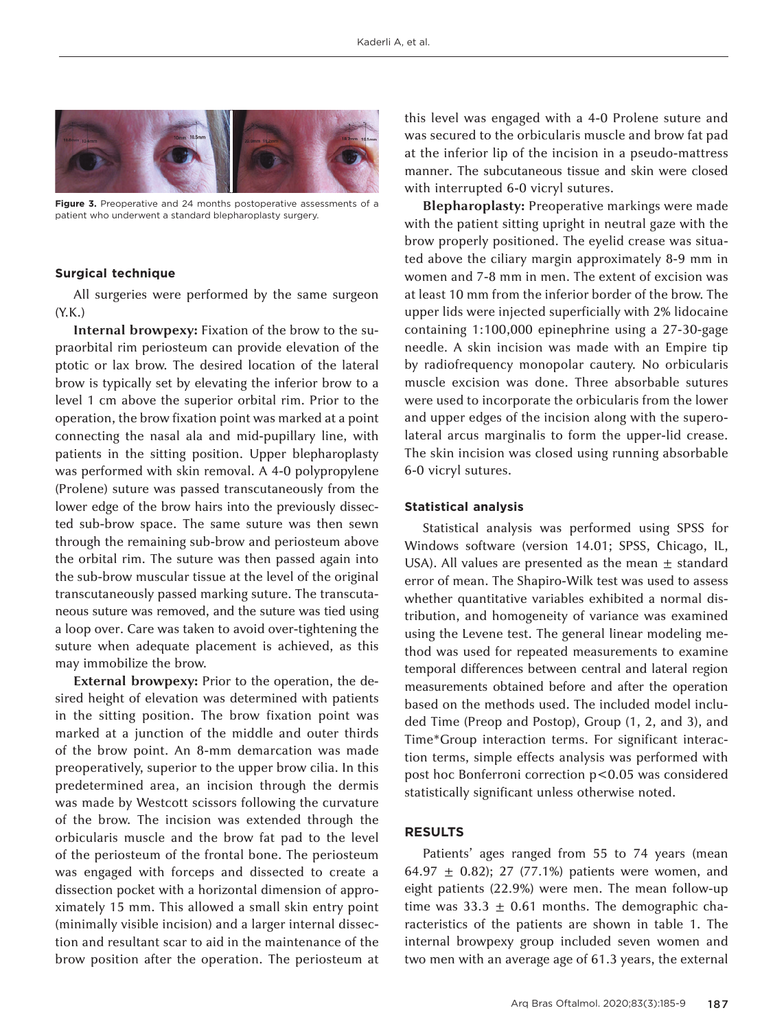

**Figure 3.** Preoperative and 24 months postoperative assessments of a patient who underwent a standard blepharoplasty surgery.

#### **Surgical technique**

All surgeries were performed by the same surgeon (Y.K.)

**Internal browpexy:** Fixation of the brow to the supraorbital rim periosteum can provide elevation of the ptotic or lax brow. The desired location of the lateral brow is typically set by elevating the inferior brow to a level 1 cm above the superior orbital rim. Prior to the operation, the brow fixation point was marked at a point connecting the nasal ala and mid-pupillary line, with patients in the sitting position. Upper blepharoplasty was performed with skin removal. A 4-0 polypropylene (Prolene) suture was passed transcutaneously from the lower edge of the brow hairs into the previously dissected sub-brow space. The same suture was then sewn through the remaining sub-brow and periosteum above the orbital rim. The suture was then passed again into the sub-brow muscular tissue at the level of the original transcutaneously passed marking suture. The transcutaneous suture was removed, and the suture was tied using a loop over. Care was taken to avoid over-tightening the suture when adequate placement is achieved, as this may immobilize the brow.

**External browpexy:** Prior to the operation, the desired height of elevation was determined with patients in the sitting position. The brow fixation point was marked at a junction of the middle and outer thirds of the brow point. An 8-mm demarcation was made preoperatively, superior to the upper brow cilia. In this predetermined area, an incision through the dermis was made by Westcott scissors following the curvature of the brow. The incision was extended through the orbicularis muscle and the brow fat pad to the level of the periosteum of the frontal bone. The periosteum was engaged with forceps and dissected to create a dissection pocket with a horizontal dimension of approximately 15 mm. This allowed a small skin entry point (minimally visible incision) and a larger internal dissection and resultant scar to aid in the maintenance of the brow position after the operation. The periosteum at

this level was engaged with a 4-0 Prolene suture and was secured to the orbicularis muscle and brow fat pad at the inferior lip of the incision in a pseudo-mattress manner. The subcutaneous tissue and skin were closed with interrupted 6-0 vicryl sutures.

**Blepharoplasty:** Preoperative markings were made with the patient sitting upright in neutral gaze with the brow properly positioned. The eyelid crease was situated above the ciliary margin approximately 8-9 mm in women and 7-8 mm in men. The extent of excision was at least 10 mm from the inferior border of the brow. The upper lids were injected superficially with 2% lidocaine containing 1:100,000 epinephrine using a 27-30-gage needle. A skin incision was made with an Empire tip by radiofrequency monopolar cautery. No orbicularis muscle excision was done. Three absorbable sutures were used to incorporate the orbicularis from the lower and upper edges of the incision along with the superolateral arcus marginalis to form the upper-lid crease. The skin incision was closed using running absorbable 6-0 vicryl sutures.

### **Statistical analysis**

Statistical analysis was performed using SPSS for Windows software (version 14.01; SPSS, Chicago, IL, USA). All values are presented as the mean  $\pm$  standard error of mean. The Shapiro-Wilk test was used to assess whether quantitative variables exhibited a normal distribution, and homogeneity of variance was examined using the Levene test. The general linear modeling method was used for repeated measurements to examine temporal differences between central and lateral region measurements obtained before and after the operation based on the methods used. The included model included Time (Preop and Postop), Group (1, 2, and 3), and Time\*Group interaction terms. For significant interaction terms, simple effects analysis was performed with post hoc Bonferroni correction p<0.05 was considered statistically significant unless otherwise noted.

## **RESULTS**

Patients' ages ranged from 55 to 74 years (mean 64.97  $\pm$  0.82); 27 (77.1%) patients were women, and eight patients (22.9%) were men. The mean follow-up time was  $33.3 \pm 0.61$  months. The demographic characteristics of the patients are shown in table 1. The internal browpexy group included seven women and two men with an average age of 61.3 years, the external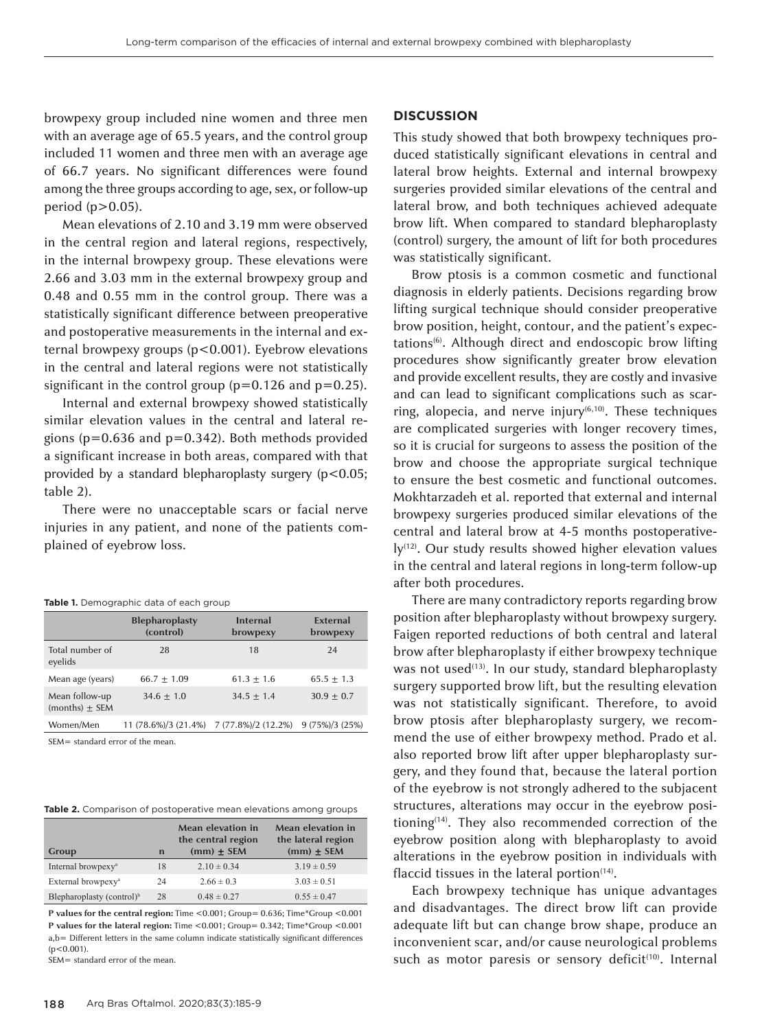browpexy group included nine women and three men with an average age of 65.5 years, and the control group included 11 women and three men with an average age of 66.7 years. No significant differences were found among the three groups according to age, sex, or follow-up period (p>0.05).

Mean elevations of 2.10 and 3.19 mm were observed in the central region and lateral regions, respectively, in the internal browpexy group. These elevations were 2.66 and 3.03 mm in the external browpexy group and 0.48 and 0.55 mm in the control group. There was a statistically significant difference between preoperative and postoperative measurements in the internal and external browpexy groups (p<0.001). Eyebrow elevations in the central and lateral regions were not statistically significant in the control group ( $p=0.126$  and  $p=0.25$ ).

Internal and external browpexy showed statistically similar elevation values in the central and lateral regions (p=0.636 and p=0.342). Both methods provided a significant increase in both areas, compared with that provided by a standard blepharoplasty surgery (p<0.05; table 2).

There were no unacceptable scars or facial nerve injuries in any patient, and none of the patients complained of eyebrow loss.

|                                       | <b>Blepharoplasty</b><br>(control)       | <b>Internal</b><br>browpexy | External<br>browpexy |  |
|---------------------------------------|------------------------------------------|-----------------------------|----------------------|--|
| Total number of<br>eyelids            | 28                                       | 18                          | 24                   |  |
| Mean age (years)                      | $66.7 + 1.09$                            | $61.3 + 1.6$                | $65.5 + 1.3$         |  |
| Mean follow-up<br>(months) $\pm$ SEM  | $34.6 + 1.0$                             | $34.5 + 1.4$                | $30.9 + 0.7$         |  |
| Women/Men                             | 11 (78.6%)/3 (21.4%) 7 (77.8%)/2 (12.2%) |                             | $9(75\%)/3(25\%)$    |  |
| $CFA$ and $A$ and $A$ and $B$ and $C$ |                                          |                             |                      |  |

SEM= standard error of the mean.

**Table 2.** Comparison of postoperative mean elevations among groups

| Group                                 | $\mathbf n$ | Mean elevation in<br>the central region<br>$(mm) \pm SEM$ | Mean elevation in<br>the lateral region<br>$(mm) \pm SEM$ |
|---------------------------------------|-------------|-----------------------------------------------------------|-----------------------------------------------------------|
| Internal browpexy <sup>a</sup>        | 18          | $2.10 \pm 0.34$                                           | $3.19 \pm 0.59$                                           |
| External browpexy <sup>a</sup>        | 24          | $2.66 \pm 0.3$                                            | $3.03 \pm 0.51$                                           |
| Blepharoplasty (control) <sup>b</sup> | 28          | $0.48 \pm 0.27$                                           | $0.55 \pm 0.47$                                           |

**P values for the central region:** Time <0.001; Group= 0.636; Time\*Group <0.001 **P values for the lateral region:** Time <0.001; Group= 0.342; Time\*Group <0.001 a,b= Different letters in the same column indicate statistically significant differences  $(p<0.001)$ .

SEM= standard error of the mean.

#### **DISCUSSION**

This study showed that both browpexy techniques produced statistically significant elevations in central and lateral brow heights. External and internal browpexy surgeries provided similar elevations of the central and lateral brow, and both techniques achieved adequate brow lift. When compared to standard blepharoplasty (control) surgery, the amount of lift for both procedures was statistically significant.

Brow ptosis is a common cosmetic and functional diagnosis in elderly patients. Decisions regarding brow lifting surgical technique should consider preoperative brow position, height, contour, and the patient's expectations<sup>(6)</sup>. Although direct and endoscopic brow lifting procedures show significantly greater brow elevation and provide excellent results, they are costly and invasive and can lead to significant complications such as scarring, alopecia, and nerve injury $(6,10)$ . These techniques are complicated surgeries with longer recovery times, so it is crucial for surgeons to assess the position of the brow and choose the appropriate surgical technique to ensure the best cosmetic and functional outcomes. Mokhtarzadeh et al. reported that external and internal browpexy surgeries produced similar elevations of the central and lateral brow at 4-5 months postoperative- $Iy^{(12)}$ . Our study results showed higher elevation values in the central and lateral regions in long-term follow-up after both procedures.

There are many contradictory reports regarding brow position after blepharoplasty without browpexy surgery. Faigen reported reductions of both central and lateral brow after blepharoplasty if either browpexy technique was not used<sup>(13)</sup>. In our study, standard blepharoplasty surgery supported brow lift, but the resulting elevation was not statistically significant. Therefore, to avoid brow ptosis after blepharoplasty surgery, we recommend the use of either browpexy method. Prado et al. also reported brow lift after upper blepharoplasty surgery, and they found that, because the lateral portion of the eyebrow is not strongly adhered to the subjacent structures, alterations may occur in the eyebrow positioning $(14)$ . They also recommended correction of the eyebrow position along with blepharoplasty to avoid alterations in the eyebrow position in individuals with flaccid tissues in the lateral portion $(14)$ .

Each browpexy technique has unique advantages and disadvantages. The direct brow lift can provide adequate lift but can change brow shape, produce an inconvenient scar, and/or cause neurological problems such as motor paresis or sensory deficit<sup>(10)</sup>. Internal